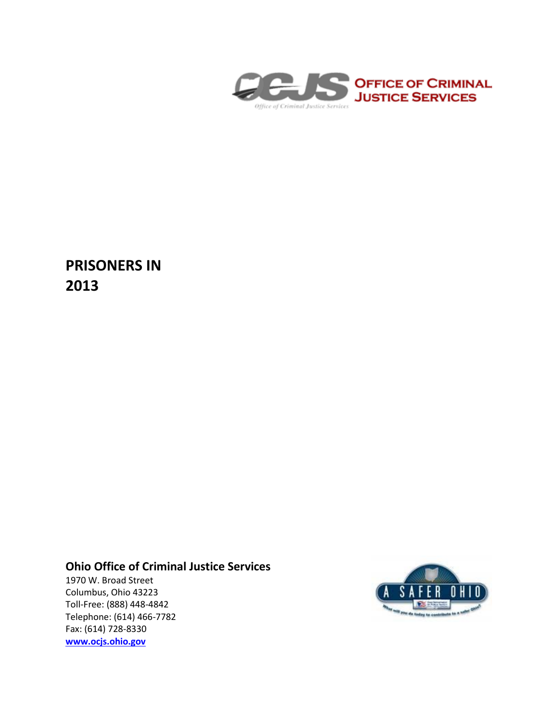

**PRISONERS IN 2013**

# **Ohio Office of Criminal Justice Services**

1970 W. Broad Street Columbus, Ohio 43223 Toll-Free: (888) 448-4842 Telephone: (614) 466-7782 Fax: (614) 728-8330 **[www.ocjs.ohio.gov](http://www.ocjs.ohio.gov/)**

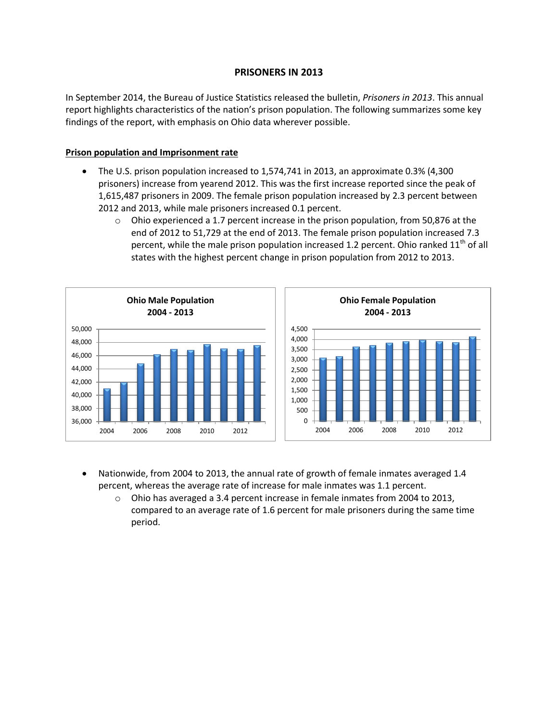# **PRISONERS IN 2013**

In September 2014, the Bureau of Justice Statistics released the bulletin, *Prisoners in 2013*. This annual report highlights characteristics of the nation's prison population. The following summarizes some key findings of the report, with emphasis on Ohio data wherever possible.

## **Prison population and Imprisonment rate**

- The U.S. prison population increased to 1,574,741 in 2013, an approximate 0.3% (4,300 prisoners) increase from yearend 2012. This was the first increase reported since the peak of 1,615,487 prisoners in 2009. The female prison population increased by 2.3 percent between 2012 and 2013, while male prisoners increased 0.1 percent.
	- $\circ$  Ohio experienced a 1.7 percent increase in the prison population, from 50,876 at the end of 2012 to 51,729 at the end of 2013. The female prison population increased 7.3 percent, while the male prison population increased 1.2 percent. Ohio ranked  $11<sup>th</sup>$  of all states with the highest percent change in prison population from 2012 to 2013.



- Nationwide, from 2004 to 2013, the annual rate of growth of female inmates averaged 1.4 percent, whereas the average rate of increase for male inmates was 1.1 percent.
	- $\circ$  Ohio has averaged a 3.4 percent increase in female inmates from 2004 to 2013, compared to an average rate of 1.6 percent for male prisoners during the same time period.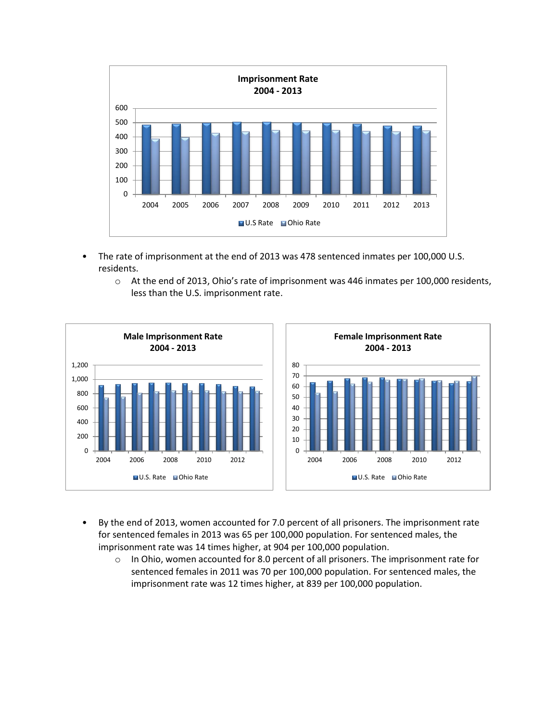

- The rate of imprisonment at the end of 2013 was 478 sentenced inmates per 100,000 U.S. residents.
	- o At the end of 2013, Ohio's rate of imprisonment was 446 inmates per 100,000 residents, less than the U.S. imprisonment rate.



- By the end of 2013, women accounted for 7.0 percent of all prisoners. The imprisonment rate for sentenced females in 2013 was 65 per 100,000 population. For sentenced males, the imprisonment rate was 14 times higher, at 904 per 100,000 population.
	- $\circ$  In Ohio, women accounted for 8.0 percent of all prisoners. The imprisonment rate for sentenced females in 2011 was 70 per 100,000 population. For sentenced males, the imprisonment rate was 12 times higher, at 839 per 100,000 population.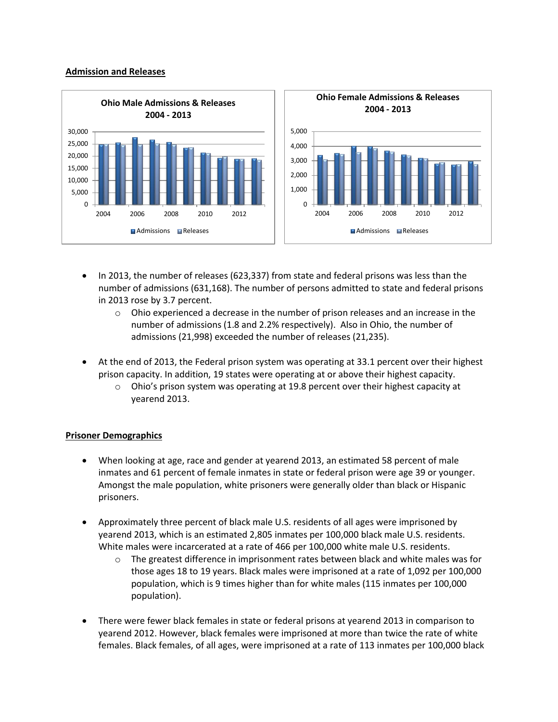#### **Admission and Releases**



- In 2013, the number of releases (623,337) from state and federal prisons was less than the number of admissions (631,168). The number of persons admitted to state and federal prisons in 2013 rose by 3.7 percent.
	- $\circ$  Ohio experienced a decrease in the number of prison releases and an increase in the number of admissions (1.8 and 2.2% respectively). Also in Ohio, the number of admissions (21,998) exceeded the number of releases (21,235).
- At the end of 2013, the Federal prison system was operating at 33.1 percent over their highest prison capacity. In addition, 19 states were operating at or above their highest capacity.
	- $\circ$  Ohio's prison system was operating at 19.8 percent over their highest capacity at yearend 2013.

#### **Prisoner Demographics**

- When looking at age, race and gender at yearend 2013, an estimated 58 percent of male inmates and 61 percent of female inmates in state or federal prison were age 39 or younger. Amongst the male population, white prisoners were generally older than black or Hispanic prisoners.
- Approximately three percent of black male U.S. residents of all ages were imprisoned by yearend 2013, which is an estimated 2,805 inmates per 100,000 black male U.S. residents. White males were incarcerated at a rate of 466 per 100,000 white male U.S. residents.
	- $\circ$  The greatest difference in imprisonment rates between black and white males was for those ages 18 to 19 years. Black males were imprisoned at a rate of 1,092 per 100,000 population, which is 9 times higher than for white males (115 inmates per 100,000 population).
- There were fewer black females in state or federal prisons at yearend 2013 in comparison to yearend 2012. However, black females were imprisoned at more than twice the rate of white females. Black females, of all ages, were imprisoned at a rate of 113 inmates per 100,000 black